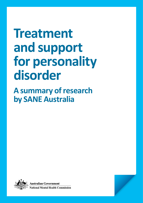# **Treatment and support for personality disorder**

**A summary of research by SANE Australia**



ustralian Government ational Mental Health Commission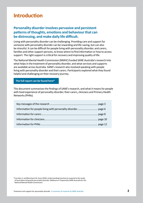# **Introduction**

# **Personality disorder involves pervasive and persistent patterns of thoughts, emotions and behaviourthat can be distressing, and make daily life difficult.**

Living with personality disorder can be challenging. Providing care and support for someone with personality disorder can be rewarding and life-saving, but can also be stressful. It can be difficult for people living with personality disorder, and carers, families and other support persons, to know where to find information or how to access support. The right support is critical for recovery and improving quality of life.

The National Mental Health Commission (NMHC) funded SANE Australia's research into what helps in the treatment of personality disorder, and what services and supports are available across Australia. SANE's research also involved speaking with people living with personality disorder and their carers. Participants explored what they found helpful and challenging on their recovery journey.

#### **[The full report can be found here\\*](https://www.sane.org/pd-report)**

This document summarises the findings of SANE's research, and what it means for people with lived experience of personality disorder, their carers, clinicians and Primary Health Networks (PHNs).

\*Carrotte, E, and Blanchard, M. (June 2018). Understanding how best to respond to the needs of Australians living with personality disorder. Melbourne. Prepared by SANE Australia for the National Mental Health Commission.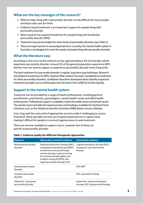## **What are the key messages of the research?**

- Without help, living with a personality disorder can be difficult for many people and those who care for them.
- Evidence-based treatment is an important support for people living with personality disorder.
- Most research has explored treatment for people living with borderline personality disorder (BPD).
- Treatment may also be helpful for other kinds of personality disorders (see Table 1).
- There are major barriers to accessing treatment. Currently, the mental health system in Australia is not designed to meet the needs of people living with personality disorder.

#### **What the literature says**

According to the most recent national survey, approximately 6.5% of Australian adults experience personality disorder. Around 1% of the general population experience BPD. Neither men nor women appear to experience personality disorder more frequently.

The best treatment for personality disorder is regular, long-term psychotherapy. Research has looked at treatments for BPD, however little research has been completed on treatment for other personality disorders. Guidelines have been developed which identify important treatment principles across all therapies (see full report from SANE for further details).

# **Support in the mental health system**

Treatment can be provided by a range of health professionals, including general practitioners, psychiatrists, psychologists, mental health nurses and allied health professionals. Professional support is available in both the public sector and private sector. The private sector provides fee-based services and funding is available for treatment from initiatives such as the Medicare Benefits Schedule (MBS) Better Access initiative.

Cost, long wait lists and a lack of appropriate services make it challenging to access treatment. Most specialist services are hospital-based and are in capital cities, making it difficult for people in rural and regional areas to seek treatment.

There are services available to support carers, however few of these are specific to personality disorder.

| <b>Diagnosis</b>                             | High quality, consistent evidence                                                                                                                                                                                                                         | <b>Good quality evidence</b>                                               |
|----------------------------------------------|-----------------------------------------------------------------------------------------------------------------------------------------------------------------------------------------------------------------------------------------------------------|----------------------------------------------------------------------------|
| Borderline personality<br>disorder           | Dialectical behaviour therapy (DBT);<br>mentalisation based therapy (MBT);<br>transference focussed therapy;<br>schema therapy; systems training<br>for emotional predictability and<br>problem solving (STEPPS); and<br>cognitive analytic therapy (CAT) | Cognitive behaviour therapy (CBT);<br>acceptance and commitment<br>therapy |
| Antisocial personality<br>disorder           |                                                                                                                                                                                                                                                           | CBT; MBT                                                                   |
| Avoidant personality<br>disorder             |                                                                                                                                                                                                                                                           | CBT; social skills training                                                |
| Obsessive-compulsive<br>personality disorder |                                                                                                                                                                                                                                                           | Supportive-expressive dynamic<br>therapy; CBT; interpersonal therapy       |

#### **Table 1. Evidence quality for different therapeutic approaches**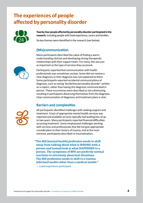# **The experiences of people affected by personality disorder**



**Twenty-four people affected by personality disorder participated in the** research, including people with lived experience, carers and families.

Six key themes were identified in the research (see below).

# **(Mis)communication**

Many participants described the value of finding a warm, understanding clinician and developing strong therapeutic relationships with their support team. For many, this was just as important as the type of services they accessed.

Participants reported that communication with health professionals was sometimes unclear. Some did not receive a clear diagnosis or their diagnosis was not explained to them. Some participants reported accidental communications of diagnosis, such as seeing 'borderline personality disorder' written on a report, rather than having this diagnosis communicated in person. These occurrences were described as very distressing, resulting in participants distancing themselves from the diagnosis. Clear communication of diagnoses and treatment plans is vital.

# **Barriers and complexities**



All participants identified challenges with seeking support and treatment. A lack of appropriate mental health services was reported and available services typically had waiting lists of up to two years. Many participants reported financial difficulties accessing treatment. Some emphasised challenges working with services and professionals that did not give appropriate consideration to their history of trauma, and at the most extreme, participants described re-traumatisation.

**"The MH [mental health] profession needs to shift away from talking about what is WRONG with a person and instead look at what HAPPENED to a person. The symptoms of BPD are perfectly normal reactions to extremely abnormal situations. The MH profession needs to shift to a trauma informed model rather than a medical model."** 

— Lived experience participant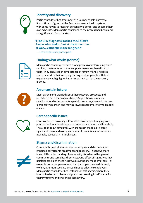

# **Identity and discovery**

Participants described treatment as a journey of self-discovery. It took time to figure out the Australian mental health system, with some having to research personality disorder and become their own advocate. Many participants wished the process had been more straightforward from the start.

#### **"[The BPD diagnosis] rocked me. I didn't know what to do… but at the same time it was… cathartic in the long run."**

— Lived experience participant

# **Finding what works(for me)**



Many participants experienced a long process of determining which services, treatments and other supports were most beneficial to them. They discussed the importance of family, friends, hobbies, study, or work in their recovery. Talking to other people with lived experience was highlighted as an important part of the recovery journey.



# **An uncertain future**

Most participants worried about their recovery prospects and identified a need for positive change. Suggestions included a significant funding increase for specialist services, change in the term 'personality disorder' and moving towards a trauma-informed model of care.

# **Carer-specific issues**



Carers reported providing different levels of support ranging from practical and functional support to emotional support and friendship. They spoke about difficulties with changes in the role of a carer, significant stress and worry, and a lack of specialist carer resources available, particularly in rural areas.

# **Stigma and discrimination**



Common through all themes was how stigma and discrimination impacted participants' treatment and recovery. This shows there is very little understanding of personality disorders in the general community and some health services. One effect of stigma was that participants experienced negative assumptions made by others. For example, some people assumed that participants were dishonest, violent, attention-seeking, or could not be effective employees. Many participants described instances of self-stigma, where they internalised others' blame and prejudice, resulting in self-blame for their symptoms and challenges in recovery.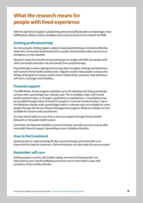# **What the research means for people with lived experience**

With the right kind of support, people living with personality disorder can lead longer, more fulfilling lives. Below is advice, strategies and resources based on the research by SANE.

## **Seeking professional help**

For many people, finding regular, evidence-based psychotherapy is the key to effective treatment. Community-based treatment is usually recommended unless you are in an emergency or crisis situation.

Research shows the benefits of psychotherapy for people with BPD, but people with other personality disorders can also benefit from psychotherapy.

Psychotherapy involves talking and learning about thoughts, feelings and behaviours with trained mental health professionals. Regular sessions help people to reduce the feeling of being low or empty, anxiety about relationships, paranoia, risky behaviour, self-harm, and anger and irritability.

#### **Financial support**

The MBS Better Access program subsidises up to 10 individual and 10 group therapy services with a psychologist per calendar year. This is available under a GP mental health treatment plan, or through a psychiatrist or paediatrician. Consultations may be provided through online channels for people in rural and remote locations. Up to five Medicare rebates with a psychologist within a calendar year are available for some people through the Chronic Disease Management program. Medicare rebates are also available for sessions with psychiatrists.

You may also be able to access free or low cost support through Primary Health Networks or the public health system.

Centrelink, the National Disability Insurance Scheme, and other services may be able to provide financial support, depending on your individual situation.

#### **How to find treatment**

Speaking with an understanding GP about psychotherapy and its benefits is an important first step for treatment. Online directories can also make this process easier.

## **Remember self-care**

Setting up good routines, like healthy eating, exercise and sleeping well, can help improve your overall wellbeing and ensure you're more able to cope with symptoms of personality disorder.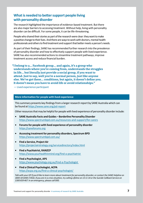# **What is needed to better support people living with personality disorder**

The research highlighted the importance of evidence-based treatment. But there are also major barriers to accessing treatment. Without help, living with personality disorder can be difficult. For some people, it can be life-threatening.

People who shared their stories as part of the research were clear: they want to make a positive change to their lives. And there are ways to work with doctors, mental health professionals and others to find treatment and support that better meets a person's needs.

As part of their findings, SANE has recommended further research into the prevalence of personality disorder and how to effectively support people with lived experience. SANE has also recommended actions to streamline treatment pathways, improve treatment access and reduce financial burden.

**"I belong to a… Facebook group… and again, it's a group who understands where you're coming from, understands the struggles in life… but literally just provide a social group, if you want to attend. Just to say, well you're a normal person, just like anyone else. We've got these… conditions, but again, it doesn't define you. It doesn't mean you have to avoid life or avoid relationships."** 

— Lived experience participant

#### **More information for people with lived experience**

This summary presents key findings from a larger research report by SANE Australia which can be found at<https://www.sane.org/pd-report>

Other resources that may be helpful for people with lived experience of personality disorder include:

- **• SANE Australia Facts and Guides Borderline Personality Disorder** <https://www.spectrumbpd.com.au/resources-and-support/for-carers>
- **• Forums for people with lived experience of personality disorder** <https://saneforums.org>
- **• Accessing treatmentfor personality disorders, Spectrum BPD** <https://www.spectrumbpd.com.au/>
- **• Find a Service, Project Air** <https://projectairstrategy.org/servicedirectory/index.html>
- **• Find a Psychiatrist, RANZCP** <https://www.yourhealthinmind.org/find-a-psychiatrist>
- **• Find a Psychologist, APS** <https://www.psychology.org.au/Find-a-Psychologist>
- **• Find a Clinical Psychologist, ACPA** https:/[/acpa.org.au/find-a-clinical-psychologist/](https://acpa.org.au/find-a-clinical-psychologist/)

Talk with your GP if you'd like to learn more about treatment for personality disorder, or contact the SANE Helpline on *1800 18 SANE (7263). If you are in a crisis situation, try calling Lifeline on 13 11 14 or the Suicide Callback Service on 1300 659 467. In an emergency, please call 000.*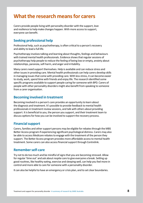# **What the research means for carers**

Carers provide people living with personality disorder with the support, love and resilience to help make changes happen. With more access to support, everyone can benefit.

## **Seeking professional help**

Professional help, such as psychotherapy, is often critical to a person's recovery and ability to lead a full life.

Psychotherapy involves talking and learning about thoughts, feelings and behaviours with trained mental health professionals. Evidence shows that regular sessions of psychotherapy help people to reduce the feeling of being low or empty, anxiety about relationships, paranoia, self-harm, and anger and irritability.

Many carers need support themselves. Help is available and can reduce stress and other issues in providing care. Mental health professionals can help carers develop skills in managing issues that come with providing care. With less stress, it can become easier to study, work, spend time with friends and enjoy life. The research identified some specific programs available to support people caring for someone with BPD. Carers of people with other personality disorders might also benefit from speaking to someone from a carer organisation.

#### **Becoming involved in treatment**

Becoming involved in a person's care provides an opportunity to learn about the diagnosis and treatment. It's possible to provide feedback to mental health professionals in treatment review sessions, and talk with others about providing support. It is beneficial to you, the person you support, and their treatment team to discuss options for how you can be involved to support the recovery process.

## **Financial support**

Carers, families and other support persons may be eligible for rebates through the MBS Better Access program if experiencing significant psychological distress. Carers may also be able to access Medicare rebates to engage with the treatment of the person they support. The Better Access program provides more affordable access to mental health treatment. Some carers can also access financial support through Centrelink.

## **Remember self-care**

Try not to do too much and be mindful of signs that you are becoming stressed. Allow for regular 'time out' and ask about respite care to give everyone a break. Setting up good routines, like healthy eating, exercise and sleeping well, can help you feel more in control and more able to care for someone with a personality disorder.

It can also be helpful to have an emergency or crisis plan, and to set clear boundaries.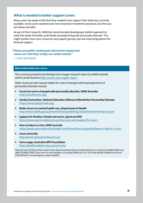#### **What is needed to better support carers**

Many carers we spoke to felt that they needed more support than what was currently available. Some carers wanted to be more involved in treatment processes, but this was not always possible.

As part of their research, SANE has recommended developing a holistic approach to meet the needs of families and friends of people living with personality disorder. This might involve more carer resources and support groups, but also improving options for financial support.

#### **"There are public statements about how important carers are. But they really are undervalued."**

— Carer participant

#### **More information for carers**

This summary presents key findings from a larger research report by SANE Australia which can be found at<https://www.sane.org/pd-report>

Other resources that may be helpful for carers of people with lived experience of personality disorder include:

- **• Forum for carers of people with personality disorder, SANE Australia** <https://saneforums.org/>
- **• Family Connections,National Education Alliance of Borderline Personality Disorder** <https://www.bpdaustralia.org/>
- **• Better Accessto mental health care, Department of Health** <http://www.health.gov.au/internet/main/publishing.nsf/content/mental-ba-fact-pat>
- **Support for families, friends and carers, Spectrum BPD** <https://www.spectrumbpd.com.au/resources-and-support/for-carers>
- **• How to help in a crisis, SANE Australia** <https://www.sane.org/mental-health-and-illness/facts-and-guides/how-to-help-in-a-crisis>
- **• Carers Australia** <http://www.carersaustralia.com.au/>
- **• Carers page, Australian BPD Foundation** <https://bpdfoundation.org.au/carers.php>

*Talk with your GP if you'd like to learn more about treatment for personality disorder, or contact the SANE Helpline on 1800 18 SANE (7263). If you are in a crisis situation, try calling Lifeline on 13 11 14 or the Suicide Callback Service on 1300 659 467. In an emergency, please call 000.*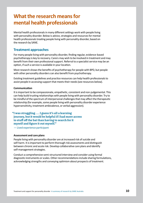# **What the research means for mental health professionals**

Mental health professionals in many different settings work with people living with personality disorder. Below is advice, strategies and resources for mental health professionals treating people living with personality disorder, based on the research by SANE.

#### **Treatment approaches**

For many people living with personality disorder, finding regular, evidence-based psychotherapy is key to recovery. Carers may wish to be involved in treatment and may benefit from their own professional support. Referral to a specialist service may be an option, if such a service is available in your location.

Most research shows the benefits of psychotherapy for people with BPD, but people with other personality disorders can also benefit from psychotherapy.

Existing treatment guidelines and practice resources can help health professionals to assist people in accessing support that meets their needs (see resources below).

#### **Communication**

It is important to be compassionate, empathetic, consistent and non-judgemental. This can help build trusting relationships with people living with personality disorder. Try to be mindful of the spectrum of interpersonal challenges that may affect the therapeutic relationship (for example, some people living with personality disorder experience hypersensitivity, treatment ambivalence, or verbal aggression).

#### **"I was struggling . . . I guess it's all a learning journey, but it would be helpful if I had more access to stuff off the bat than having to search for it myself and figure it out myself."**

— Lived experience participant

#### **Assessment and care plans**

People living with personality disorder are at increased risk of suicide and self-harm. It is important to perform thorough risk assessments and distinguish between chronic and acute risk. Develop collaborative care plans and identify self-management strategies.

Conduct a comprehensive semi-structured interview and consider using formal diagnostic instruments or scales. Other recommendations include sharing formulations, acknowledging strengths and conveying optimism about prospects of treatment.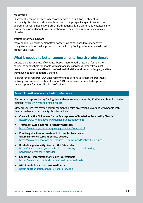#### **Medication**

Pharmacotherapy is not generally recommended as a first-line treatment for personality disorder, and should only be used to target specific symptoms, such as depression. Ensure medications are trialled sequentially in a systematic way. Regularly review the risks and benefits of medication with the person living with personality disorder.

#### **Trauma-informed support**

Many people living with personality disorder have experienced traumatic events. Using a trauma‑informed approach, and establishing feelings of safety, can help build rapport and trust.

#### **What is needed to better support mental health professionals**

Despite the effectiveness of evidence-based treatment, the research found major barriers to getting help for people with personality disorder. We know from past research that some mental health professionals find this work very challenging, and feel they have not been adequately trained.

As part of their research, SANE has recommended actions to streamline treatment pathways and improve treatment access. SANE has also recommended improving training options for mental health professionals.

#### **More information for mental health professionals**

This summary presents key findings from a larger research report by SANE Australia which can be found at <https://www.sane.org/pd-report>

Other resources that may be helpful for mental health professionals working with people with lived experience of personality disorder include:

- **• Clinical Practice Guidelinesforthe Management of Borderline Personality Disorder** <https://www.nhmrc.gov.au/guidelines-publications/mh25>
- **• Treatment Guidelines for Personality Disorders**  <https://www.projectairstrategy.org/guidelines/index.html>
- **• Practice guidelinesfortreatment of complex trauma and trauma informed care and service delivery**  <https://www.blueknot.org.au/resources/Publications/Practice-Guidelines>
- **• Borderline personality disorder, SANE Australia** [https://www.sane.org/mental-health-and-illness/facts-and-guides/](https://www.sane.org/mental-health-and-illness/facts-and-guides/borderline-personality-disorder) [borderline-personality-disorder](https://www.sane.org/mental-health-and-illness/facts-and-guides/borderline-personality-disorder)
- **• Spectrum – Information for Health Professionals** <https://www.spectrumbpd.com.au/health-professionals>
- **• BPD Foundation virtualresource library** <http://bpdfoundation.org.au/virtual-library.php>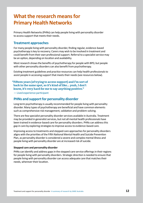# **What the research means for Primary Health Networks**

Primary Health Networks (PHNs) can help people living with personality disorder to access support that meets their needs.

#### **Treatment approaches**

For many people living with personality disorder, finding regular, evidence-based psychotherapy is key to recovery. Carers may wish to be involved in treatment and could benefit from their own professional support. Referral to a specialist service may be an option, depending on location and availability.

Most research shows the benefits of psychotherapy for people with BPD, but people with other personality disorders can also benefit from psychotherapy.

Existing treatment guidelines and practice resources can help health professionals to assist people in accessing support that meets their needs (see resources below).

#### **"Fifteen years [of trying to access support] and I'm sort of back in the same spot, so it's kind of like… yeah, I don't know, it's very hard for me to say anything positive."**

— Lived experience participant

## **PHNs and support for personality disorder**

Long term psychotherapy is usually recommended for people living with personality disorder. Many types of psychotherapy are beneficial and have common elements such as comprehensive risk management, validation and problem-solving.

There are few specialist personality disorder services available in Australia. Treatment may be provided in generalist services, but not all mental health professionals have been trained in evidence-based care for personality disorders. PHNs can address this gap in care by exploring strategies to improve access to evidence-based care.

Improving access to treatments and stepped care approaches for personality disorders aligns with the priorities of the Fifth National Mental Health and Suicide Prevention Plan, as personality disorder is considered a severe and complex mental illness and people living with personality disorder are at increased risk of suicide.

#### **Stepped care and personality disorder**

PHNs can identify and address gaps in the stepped care service offerings in their regions for people living with personality disorders. Strategic direction is needed to ensure that people living with personality disorder can access adequate care that matches their needs, wherever their location.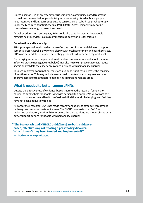Unless a person is in an emergency or crisis situation, community-based treatment is usually recommended for people living with personality disorder. Many people need intensive and long-term support, and ten sessions of subsidised psychotherapy under the Medicare Benefits Schedule (MBS) Better Access Initiative may not be comprehensive enough to meet their needs.

As well as addressing service gaps, PHNs could also consider ways to help people navigate health services, such as commissioning peer workers for this role.

#### **Coordination and leadership**

PHNs play a pivotal role in leading more effective coordination and delivery of support services across Australia. By working closely with local government and health services, PHNs can better deliver support for treating personality disorder at a regional level.

Encouraging services to implement treatment recommendations and adopt traumainformed practice (see guidelines below) may also help to improve outcomes, reduce stigma and validate the experiences of people living with personality disorder.

Through improved coordination, there are also opportunities to increase the capacity of health services. This may include mental health professionals using telehealth to improve access to treatment for people living in rural and remote areas.

#### **What is needed to better support PHNs**

Despite the effectiveness of evidence-based treatment, the research found major barriers to getting help for people living with personality disorder. We know from past research that some mental health professionals find this work challenging, and feel they have not been adequately trained.

As part of their research, SANE has made recommendations to streamline treatment pathways and improve treatment access. The NMHC has also funded SANE to undertake exploratory work with PHNs across Australia to identify a model of care with better support options for people with personality disorder.

**"[The Project Air and NHMRC guidelines] are both evidencebased, effective ways of treating a personality disorder. Why… haven't they been funded and implemented?"**

— Lived experience participant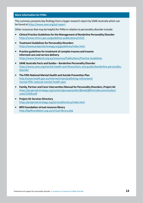#### **More information for PHNs**

This summary presents key findings from a larger research report by SANE Australia which can be found at<https://www.sane.org/pd-report>

Other resources that may be helpful for PHNs in relation to personality disorder include:

- **• Clinical Practice Guidelinesforthe Management of Borderline Personality Disorder** <https://www.nhmrc.gov.au/guidelines-publications/mh25>
- **• Treatment Guidelines for Personality Disorders**  <https://www.projectairstrategy.org/guidelines/index.html>
- **• Practice guidelinesfortreatment of complex trauma and trauma informed care and service delivery**  <https://www.blueknot.org.au/resources/Publications/Practice-Guidelines>
- **• SANE Australia Facts and Guides Borderline Personality Disorder**  [https://www.sane.org/mental-health-and-illness/facts-and-guides/borderline-personality](https://www.sane.org/mental-health-and-illness/facts-and-guides/borderline-personality-disorder)[disorder](https://www.sane.org/mental-health-and-illness/facts-and-guides/borderline-personality-disorder)
- **• The FifthNational Mental Health and Suicide Prevention Plan** [http://www.health.gov.au/internet/main/publishing.nsf/content/](http://www.health.gov.au/internet/main/publishing.nsf/content/mental-fifth-national-mental-health-plan) [mental-fifth-national-mental-health-plan](http://www.health.gov.au/internet/main/publishing.nsf/content/mental-fifth-national-mental-health-plan)
- **• Family, Partner and CarerIntervention Manual for Personality Disorders, Project Air** [https://projectairstrategy.org/content/groups/public/@web/@ihmri/documents/doc/](https://projectairstrategy.org/content/groups/public/@web/@ihmri/documents/doc/uow212928.pdf) [uow212928.pdf](https://projectairstrategy.org/content/groups/public/@web/@ihmri/documents/doc/uow212928.pdf)
- **• Project Air Services Directory** <https://projectairstrategy.org/servicedirectory/index.html>
- **• BPD Foundation virtualresource library** <http://bpdfoundation.org.au/virtual-library.php>